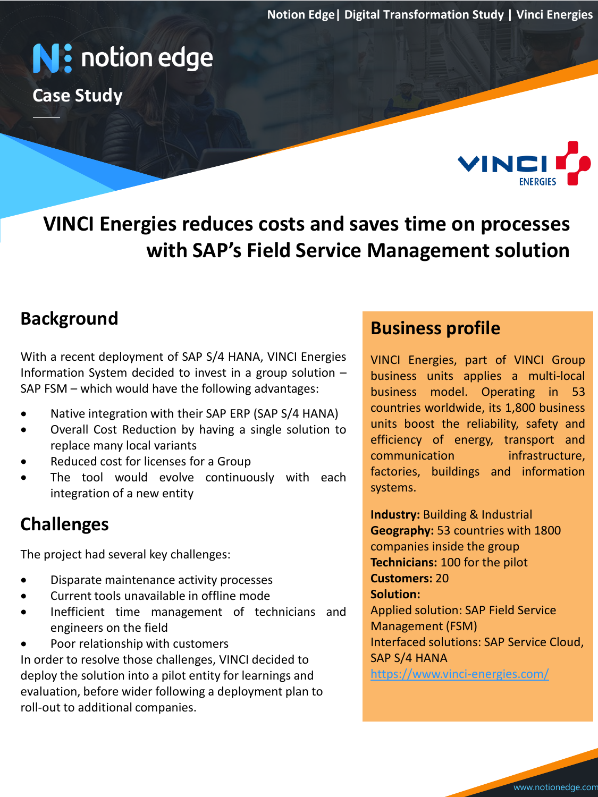**Notion Edge| Digital Transformation Study | Vinci Energies**

# **N:** notion edge

**Case Study**



**VINCI Energies reduces costs and saves time on processes with SAP's Field Service Management solution**

### **Background**

With a recent deployment of SAP S/4 HANA, VINCI Energies Information System decided to invest in a group solution – SAP FSM – which would have the following advantages:

- 
- Overall Cost Reduction by having a single solution to replace many local variants
- Reduced cost for licenses for a Group
- The tool would evolve continuously with each integration of a new entity

### **Challenges**

The project had several key challenges:

- Disparate maintenance activity processes
- Current tools unavailable in offline mode
- Inefficient time management of technicians and engineers on the field
- Poor relationship with customers

In order to resolve those challenges, VINCI decided to deploy the solution into a pilot entity for learnings and evaluation, before wider following a deployment plan to roll-out to additional companies.

### **Business profile**

• Native integration with their SAP ERP (SAP S/4 HANA) countries worldwide, its 1,800 business<br>• Currell Cest Peduction by having a single calution to units boost the reliability, safety and rightly having a single solution to efficiency of energy, transport and VINCI Energies, part of VINCI Group business units applies a multi-local business model. Operating in 53 countries worldwide, its 1,800 business units boost the reliability, safety and communication infrastructure, factories, buildings and information systems.

> **Industry:** Building & Industrial **Geography:** 53 countries with 1800 companies inside the group **Technicians:** 100 for the pilot **Customers:** 20 **Solution:**  Applied solution: SAP Field Service Management (FSM) Interfaced solutions: SAP Service Cloud, SAP S/4 HANA <https://www.vinci-energies.com/>

> > www.notionedge.com